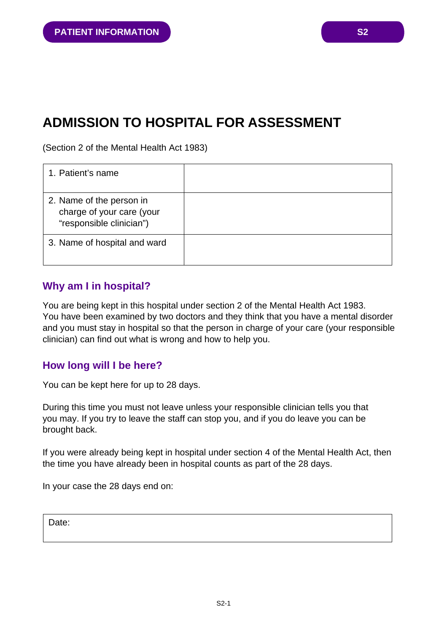# **ADMISSION TO HOSPITAL FOR ASSESSMENT**

(Section 2 of the Mental Health Act 1983)

| 1. Patient's name                                                                 |  |
|-----------------------------------------------------------------------------------|--|
| 2. Name of the person in<br>charge of your care (your<br>"responsible clinician") |  |
| 3. Name of hospital and ward                                                      |  |

### **Why am I in hospital?**

You are being kept in this hospital under section 2 of the Mental Health Act 1983. You have been examined by two doctors and they think that you have a mental disorder and you must stay in hospital so that the person in charge of your care (your responsible clinician) can find out what is wrong and how to help you.

# **How long will I be here?**

You can be kept here for up to 28 days.

During this time you must not leave unless your responsible clinician tells you that you may. If you try to leave the staff can stop you, and if you do leave you can be brought back.

If you were already being kept in hospital under section 4 of the Mental Health Act, then the time you have already been in hospital counts as part of the 28 days.

In your case the 28 days end on:

Date: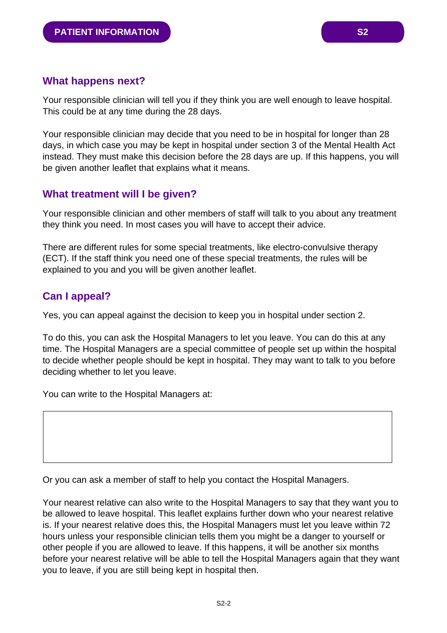Your responsible clinician will tell you if they think you are well enough to leave hospital. This could be at any time during the 28 days.

Your responsible clinician may decide that you need to be in hospital for longer than 28 days, in which case you may be kept in hospital under section 3 of the Mental Health Act instead. They must make this decision before the 28 days are up. If this happens, you will be given another leaflet that explains what it means.

# **What treatment will I be given?**

Your responsible clinician and other members of staff will talk to you about any treatment they think you need. In most cases you will have to accept their advice.

There are different rules for some special treatments, like electro-convulsive therapy (ECT). If the staff think you need one of these special treatments, the rules will be explained to you and you will be given another leaflet.

# **Can I appeal?**

Yes, you can appeal against the decision to keep you in hospital under section 2.

To do this, you can ask the Hospital Managers to let you leave. You can do this at any time. The Hospital Managers are a special committee of people set up within the hospital to decide whether people should be kept in hospital. They may want to talk to you before deciding whether to let you leave.

You can write to the Hospital Managers at:

Or you can ask a member of staff to help you contact the Hospital Managers.

Your nearest relative can also write to the Hospital Managers to say that they want you to be allowed to leave hospital. This leaflet explains further down who your nearest relative is. If your nearest relative does this, the Hospital Managers must let you leave within 72 hours unless your responsible clinician tells them you might be a danger to yourself or other people if you are allowed to leave. If this happens, it will be another six months before your nearest relative will be able to tell the Hospital Managers again that they want you to leave, if you are still being kept in hospital then.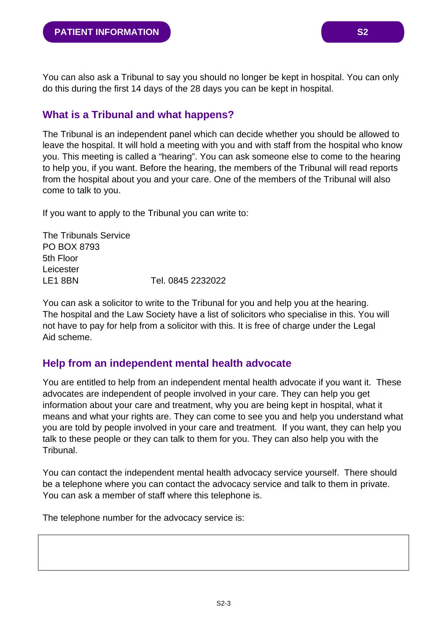You can also ask a Tribunal to say you should no longer be kept in hospital. You can only do this during the first 14 days of the 28 days you can be kept in hospital.

# **What is a Tribunal and what happens?**

The Tribunal is an independent panel which can decide whether you should be allowed to leave the hospital. It will hold a meeting with you and with staff from the hospital who know you. This meeting is called a "hearing". You can ask someone else to come to the hearing to help you, if you want. Before the hearing, the members of the Tribunal will read reports from the hospital about you and your care. One of the members of the Tribunal will also come to talk to you.

If you want to apply to the Tribunal you can write to:

The Tribunals Service PO BOX 8793 5th Floor Leicester LE1 8BN Tel. 0845 2232022

You can ask a solicitor to write to the Tribunal for you and help you at the hearing. The hospital and the Law Society have a list of solicitors who specialise in this. You will not have to pay for help from a solicitor with this. It is free of charge under the Legal Aid scheme.

# **Help from an independent mental health advocate**

You are entitled to help from an independent mental health advocate if you want it. These advocates are independent of people involved in your care. They can help you get information about your care and treatment, why you are being kept in hospital, what it means and what your rights are. They can come to see you and help you understand what you are told by people involved in your care and treatment. If you want, they can help you talk to these people or they can talk to them for you. They can also help you with the Tribunal.

You can contact the independent mental health advocacy service yourself. There should be a telephone where you can contact the advocacy service and talk to them in private. You can ask a member of staff where this telephone is.

The telephone number for the advocacy service is: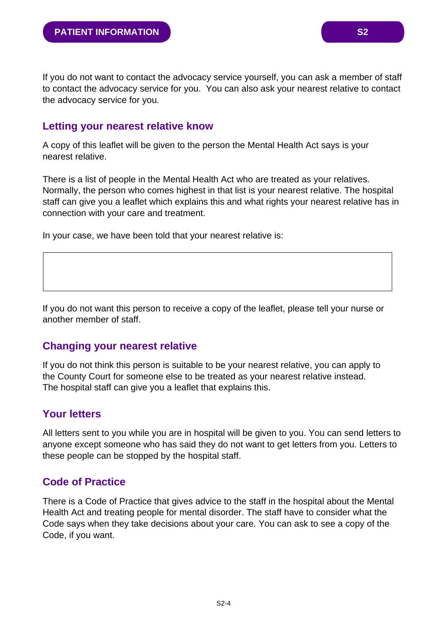If you do not want to contact the advocacy service yourself, you can ask a member of staff to contact the advocacy service for you. You can also ask your nearest relative to contact the advocacy service for you.

#### **Letting your nearest relative know**

A copy of this leaflet will be given to the person the Mental Health Act says is your nearest relative.

There is a list of people in the Mental Health Act who are treated as your relatives. Normally, the person who comes highest in that list is your nearest relative. The hospital staff can give you a leaflet which explains this and what rights your nearest relative has in connection with your care and treatment.

In your case, we have been told that your nearest relative is:

If you do not want this person to receive a copy of the leaflet, please tell your nurse or another member of staff.

#### **Changing your nearest relative**

If you do not think this person is suitable to be your nearest relative, you can apply to the County Court for someone else to be treated as your nearest relative instead. The hospital staff can give you a leaflet that explains this.

#### **Your letters**

All letters sent to you while you are in hospital will be given to you. You can send letters to anyone except someone who has said they do not want to get letters from you. Letters to these people can be stopped by the hospital staff.

#### **Code of Practice**

There is a Code of Practice that gives advice to the staff in the hospital about the Mental Health Act and treating people for mental disorder. The staff have to consider what the Code says when they take decisions about your care. You can ask to see a copy of the Code, if you want.